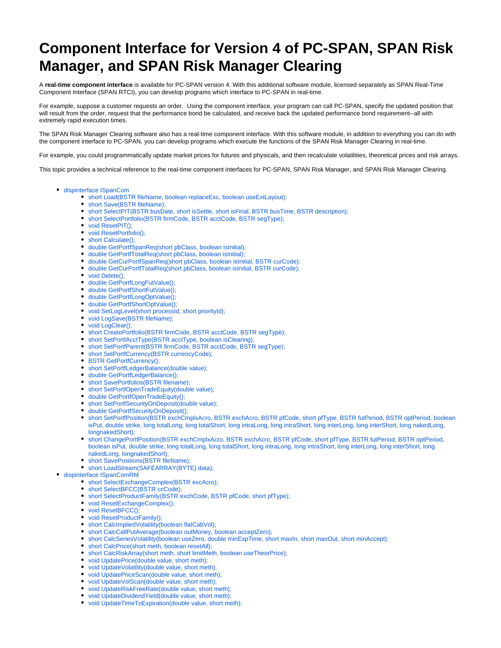# **Component Interface for Version 4 of PC-SPAN, SPAN Risk Manager, and SPAN Risk Manager Clearing**

A **real-time component interface** is available for PC-SPAN version 4. With this additional software module, licensed separately as SPAN Real-Time Component Interface (SPAN RTCI), you can develop programs which interface to PC-SPAN in real-time.

For example, suppose a customer requests an order. Using the component interface, your program can call PC-SPAN, specify the updated position that will result from the order, request that the performance bond be calculated, and receive back the updated performance bond requirement--all with extremely rapid execution times.

The SPAN Risk Manager Clearing software also has a real-time component interface. With this software module, in addition to everything you can do with the component interface to PC-SPAN, you can develop programs which execute the functions of the SPAN Risk Manager Clearing in real-time.

For example, you could programmatically update market prices for futures and physicals, and then recalculate volatilities, theoretical prices and risk arrays.

This topic provides a technical reference to the real-time component interfaces for PC-SPAN, SPAN Risk Manager, and SPAN Risk Manager Clearing.

- [dispinterface ISpanCom](#page-1-0)
	- [short Load\(BSTR fileName, boolean replaceExc, boolean useExtLayout\);](#page-1-1)
	- [short Save\(BSTR fileName\);](#page-1-2)
	- [short SelectPIT\(BSTR busDate, short isSettle, short isFinal, BSTR busTime, BSTR description\);](#page-2-0)
	- [short SelectPortfolio\(BSTR firmCode, BSTR acctCode, BSTR segType\);](#page-2-1)
	- [void ResetPIT\(\);](#page-2-2)
	- [void ResetPortfolio\(\);](#page-2-3)
	- [short Calculate\(\);](#page-3-0)
	- [double GetPortfSpanReq\(short pbClass, boolean isInitial\);](#page-3-1)
	- [double GetPortfTotalReq\(short pbClass, boolean isInitial\);](#page-3-2)
	- [double GetCurPortfSpanReq\(short pbClass, boolean isInitial, BSTR curCode\);](#page-3-3)
	- [double GetCurPortfTotalReq\(short pbClass, boolean isInitial, BSTR curCode\);](#page-3-4)
	- [void Delete\(\);](#page-4-0)
	- [double GetPortfLongFutValue\(\);](#page-4-1)
	- [double GetPortfShortFutValue\(\);](#page-4-2)
	- [double GetPortfLongOptValue\(\);](#page-4-3)
	- [double GetPortfShortOptValue\(\);](#page-4-4)
	- [void SetLogLevel\(short processId, short priorityId\);](#page-5-0)
	- [void LogSave\(BSTR fileName\);](#page-5-1)
	- [void LogClear\(\);](#page-5-2)
	- [short CreatePortfolio\(BSTR firmCode, BSTR acctCode, BSTR segType\);](#page-6-0)
	- [short SetPortfAcctType\(BSTR acctType, boolean isClearing\);](#page-6-1)
	- [short SetPortfParent\(BSTR firmCode, BSTR acctCode, BSTR segType\);](#page-6-2)
	- [short SetPortfCurrency\(BSTR currencyCode\);](#page-6-3)
	- [BSTR GetPortfCurrency\(\);](#page-7-0)
	- [short SetPortfLedgerBalance\(double value\);](#page-7-1)
	- [double GetPortfLedgerBalance\(\);](#page-7-2)
	- [short SavePortfolios\(BSTR filename\);](#page-7-3)
	- [short SetPortfOpenTradeEquity\(double value\);](#page-7-4)
	- [double GetPortfOpenTradeEquity\(\);](#page-7-5)
	- [short SetPortfSecurityOnDeposit\(double value\);](#page-8-0)
	- [double GetPortfSecurityOnDeposit\(\);](#page-8-1)
	- [short SetPortfPosition\(BSTR exchCmplxAcro, BSTR exchAcro, BSTR pfCode, short pfType, BSTR futPeriod, BSTR optPeriod, boolean](#page-8-2)  [isPut, double strike, long totalLong, long totalShort, long intraLong, long intraShort, long interLong, long interShort, long nakedLong,](#page-8-2)  [longnakedShort\);](#page-8-2)
	- [short ChangePortfPosition\(BSTR exchCmplxAcro, BSTR exchAcro, BSTR pfCode, short pfType, BSTR futPeriod, BSTR optPeriod,](#page-9-0)  [boolean isPut, double strike, long totalLong, long totalShort, long intraLong, long intraShort, long interLong, long interShort, long](#page-9-0)  [nakedLong, longnakedShort\);](#page-9-0)
	- [short SavePositions\(BSTR fileName\);](#page-10-0)
	- [short LoadStream\(SAFEARRAY\(BYTE\) data\);](#page-10-1)
- [dispinterface ISpanComRM](#page-10-2)
	- [short SelectExchangeComplex\(BSTR excAcro\);](#page-11-0)
	- [short SelectBFCC\(BSTR ccCode\);](#page-11-1)
	- [short SelectProductFamily\(BSTR exchCode, BSTR pfCode, short pfType\);](#page-11-2)
	- [void ResetExchangeComplex\(\);](#page-12-0)
	- [void ResetBFCC\(\);](#page-12-1)
	- [void ResetProductFamily\(\);](#page-12-2)
	- [short CalcImpliedVolatility\(boolean flatCabVol\);](#page-12-3)
	- [short CalcCallPutAverage\(boolean outMoney, boolean acceptZero\);](#page-12-4)
	- [short CalcSeriesVolatility\(boolean useZero, double minExpTime, short maxIn, short maxOut, short minAccept\);](#page-12-5)
	- [short CalcPrice\(short meth, boolean resetAll\);](#page-13-0)
	- [short CalcRiskArray\(short meth, short limitMeth, boolean useTheorPrice\);](#page-13-1)
	- [void UpdatePrice\(double value, short meth\);](#page-13-2)
	- [void UpdateVolatility\(double value, short meth\);](#page-14-0)
	- [void UpdatePriceScan\(double value, short meth\);](#page-14-1)
	- [void UpdateVolScan\(double value, short meth\);](#page-14-2)
	- [void UpdateRiskFreeRate\(double value, short meth\);](#page-15-0)
	- [void UpdateDividendYield\(double value, short meth\);](#page-15-1)
	- [void UpdateTimeToExpiration\(double value, short meth\);](#page-15-2)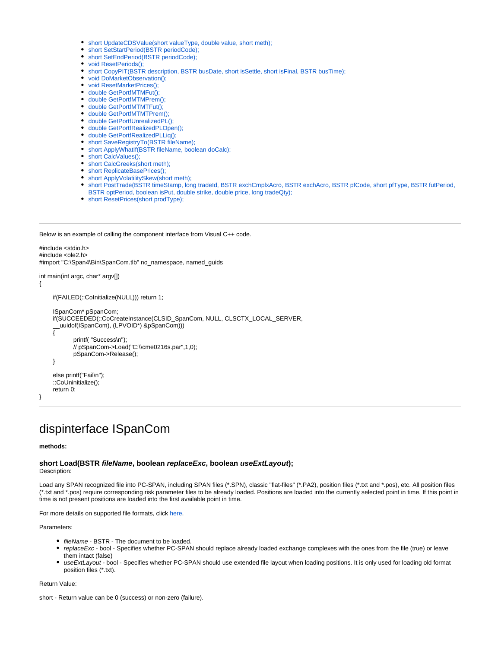- [short UpdateCDSValue\(short valueType, double value, short meth\);](#page-15-3)
- [short SetStartPeriod\(BSTR periodCode\);](#page-16-0)
- [short SetEndPeriod\(BSTR periodCode\);](#page-16-1)
- [void ResetPeriods\(\);](#page-17-0)
- [short CopyPIT\(BSTR description, BSTR busDate, short isSettle, short isFinal, BSTR busTime\);](#page-17-1)
- [void DoMarketObservation\(\);](#page-17-2)
- [void ResetMarketPrices\(\);](#page-17-3)
- [double GetPortfMTMFut\(\);](#page-17-4)
- [double GetPortfMTMPrem\(\);](#page-18-0)
- [double GetPortfMTMTFut\(\);](#page-18-1)
- [double GetPortfMTMTPrem\(\);](#page-18-2)
- [double GetPortfUnrealizedPL\(\);](#page-18-3)
- [double GetPortfRealizedPLOpen\(\);](#page-18-4)
- [double GetPortfRealizedPLLiq\(\);](#page-18-5) • [short SaveRegistryTo\(BSTR fileName\);](#page-19-0)
- [short ApplyWhatIf\(BSTR fileName, boolean doCalc\);](#page-19-1)
- [short CalcValues\(\);](#page-19-2)
- [short CalcGreeks\(short meth\);](#page-19-3)
- [short ReplicateBasePrices\(\);](#page-19-4)
- [short ApplyVolatilitySkew\(short meth\);](#page-20-0)
- [short PostTrade\(BSTR timeStamp, long tradeId, BSTR exchCmplxAcro, BSTR exchAcro, BSTR pfCode, short pfType, BSTR futPeriod,](#page-20-1)  [BSTR optPeriod, boolean isPut, double strike, double price, long tradeQty\);](#page-20-1)
- [short ResetPrices\(short prodType\);](#page-21-0)

Below is an example of calling the component interface from Visual C++ code.

```
#include <stdio.h>
#include <ole2.h>
#import "C:\Span4\Bin\SpanCom.tlb" no_namespace, named_guids
```

```
int main(int argc, char* argv[])
```
if(FAILED(::CoInitialize(NULL))) return 1;

```
 ISpanCom* pSpanCom;
 if(SUCCEEDED(::CoCreateInstance(CLSID_SpanCom, NULL, CLSCTX_LOCAL_SERVER,
   __uuidof(ISpanCom), (LPVOID*) &pSpanCom)))
 {
        printf( "Success\n");
        // pSpanCom->Load("C:\\cme0216s.par",1,0);
        pSpanCom->Release();
 }
 else printf("Fail\n");
 ::CoUninitialize();
```
}

{

# <span id="page-1-0"></span>dispinterface ISpanCom

# **methods:**

return 0;

# <span id="page-1-1"></span>**short Load(BSTR fileName, boolean replaceExc, boolean useExtLayout);** Description:

Load any SPAN recognized file into PC-SPAN, including SPAN files (\*.SPN), classic "flat-files" (\*.PA2), position files (\*.txt and \*.pos), etc. All position files (\*.txt and \*.pos) require corresponding risk parameter files to be already loaded. Positions are loaded into the currently selected point in time. If this point in time is not present positions are loaded into the first available point in time.

For more details on supported file formats, click [here.](https://www.cmegroup.com/confluence/display/pubspan/Layout+Guides)

Parameters:

- fileName BSTR The document to be loaded.
- replaceExc bool Specifies whether PC-SPAN should replace already loaded exchange complexes with the ones from the file (true) or leave them intact (false)
- useExtLayout bool Specifies whether PC-SPAN should use extended file layout when loading positions. It is only used for loading old format position files (\*.txt).

Return Value:

<span id="page-1-2"></span>short - Return value can be 0 (success) or non-zero (failure).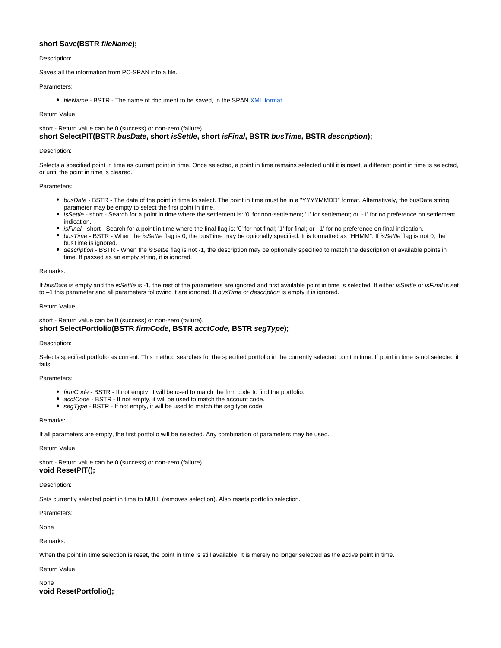# **short Save(BSTR fileName);**

# Description:

Saves all the information from PC-SPAN into a file.

# Parameters:

• fileName - BSTR - The name of document to be saved, in the SPAN [XML format.](https://www.cmegroup.com/confluence/display/pubspan/XML-based+Risk+Parameter+File)

# Return Value:

<span id="page-2-0"></span>short - Return value can be 0 (success) or non-zero (failure). **short SelectPIT(BSTR busDate, short isSettle, short isFinal, BSTR busTime, BSTR description);**

#### Description:

Selects a specified point in time as current point in time. Once selected, a point in time remains selected until it is reset, a different point in time is selected, or until the point in time is cleared.

# Parameters:

- busDate BSTR The date of the point in time to select. The point in time must be in a "YYYYMMDD" format. Alternatively, the busDate string parameter may be empty to select the first point in time.
- isSettle short Search for a point in time where the settlement is: '0' for non-settlement; '1' for settlement; or '-1' for no preference on settlement indication.
- isFinal short Search for a point in time where the final flag is: '0' for not final; '1' for final; or '-1' for no preference on final indication.
- busTime BSTR When the isSettle flag is 0, the busTime may be optionally specified. It is formatted as "HHMM". If isSettle flag is not 0, the busTime is ignored.
- description BSTR When the isSettle flag is not -1, the description may be optionally specified to match the description of available points in time. If passed as an empty string, it is ignored.

#### Remarks:

If busDate is empty and the isSettle is -1, the rest of the parameters are ignored and first available point in time is selected. If either isSettle or isFinal is set to -1 this parameter and all parameters following it are ignored. If busTime or description is empty it is ignored.

#### Return Value:

# <span id="page-2-1"></span>short - Return value can be 0 (success) or non-zero (failure). **short SelectPortfolio(BSTR firmCode, BSTR acctCode, BSTR segType);**

#### Description:

Selects specified portfolio as current. This method searches for the specified portfolio in the currently selected point in time. If point in time is not selected it fails.

# Parameters:

- firmCode BSTR If not empty, it will be used to match the firm code to find the portfolio.
- acctCode BSTR If not empty, it will be used to match the account code.
- segType BSTR If not empty, it will be used to match the seg type code.

#### Remarks:

If all parameters are empty, the first portfolio will be selected. Any combination of parameters may be used.

#### Return Value:

short - Return value can be 0 (success) or non-zero (failure).

# <span id="page-2-2"></span>**void ResetPIT();**

Description:

Sets currently selected point in time to NULL (removes selection). Also resets portfolio selection.

#### Parameters:

None

# Remarks:

When the point in time selection is reset, the point in time is still available. It is merely no longer selected as the active point in time.

# Return Value:

<span id="page-2-3"></span>None **void ResetPortfolio();**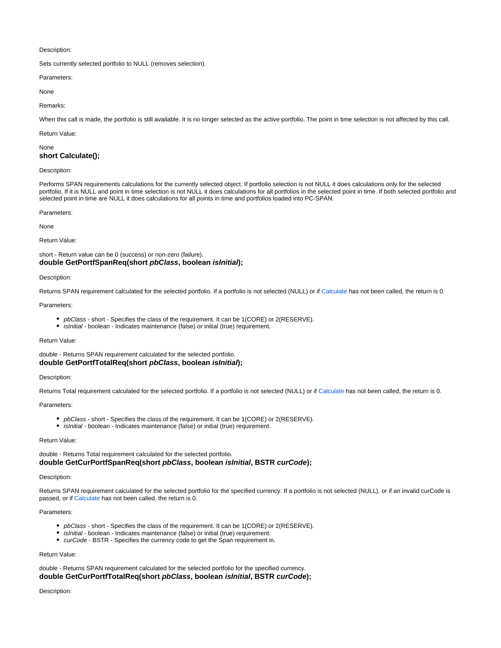# Description:

Sets currently selected portfolio to NULL (removes selection).

Parameters:

None

# Remarks:

When this call is made, the portfolio is still available. It is no longer selected as the active portfolio. The point in time selection is not affected by this call.

# Return Value:

<span id="page-3-0"></span>None **short Calculate();**

# Description:

Performs SPAN requirements calculations for the currently selected object. If portfolio selection is not NULL it does calculations only for the selected portfolio. If it is NULL and point in time selection is not NULL it does calculations for all portfolios in the selected point in time. If both selected portfolio and selected point in time are NULL it does calculations for all points in time and portfolios loaded into PC-SPAN.

Parameters:

# None

# Return Value:

<span id="page-3-1"></span>short - Return value can be 0 (success) or non-zero (failure). **double GetPortfSpanReq(short pbClass, boolean isInitial);**

# Description:

Returns SPAN requirement calculated for the selected portfolio. If a portfolio is not selected (NULL) or if [Calculate](#page-3-0) has not been called, the return is 0.

# Parameters:

- pbClass short Specifies the class of the requirement. It can be 1(CORE) or 2(RESERVE).
- isInitial boolean Indicates maintenance (false) or initial (true) requirement.

# Return Value:

<span id="page-3-2"></span>double - Returns SPAN requirement calculated for the selected portfolio. **double GetPortfTotalReq(short pbClass, boolean isInitial);**

#### Description:

Returns Total requirement calculated for the selected portfolio. If a portfolio is not selected (NULL) or if [Calculate](#page-3-0) has not been called, the return is 0.

#### Parameters:

- pbClass short Specifies the class of the requirement. It can be 1(CORE) or 2(RESERVE).
- $\bullet$ isInitial - boolean - Indicates maintenance (false) or initial (true) requirement.

# Return Value:

<span id="page-3-3"></span>double - Returns Total requirement calculated for the selected portfolio. **double GetCurPortfSpanReq(short pbClass, boolean isInitial, BSTR curCode);**

#### Description:

Returns SPAN requirement calculated for the selected portfolio for the specified currency. If a portfolio is not selected (NULL), or if an invalid curCode is passed, or if [Calculate](#page-3-0) has not been called, the return is 0.

# Parameters:

- pbClass short Specifies the class of the requirement. It can be 1(CORE) or 2(RESERVE).
- **•** *isInitial* boolean Indicates maintenance (false) or initial (true) requirement.
- curCode BSTR Specifies the currency code to get the Span requirement in.

#### Return Value:

# <span id="page-3-4"></span>double - Returns SPAN requirement calculated for the selected portfolio for the specified currency.

**double GetCurPortfTotalReq(short pbClass, boolean isInitial, BSTR curCode);**

# Description: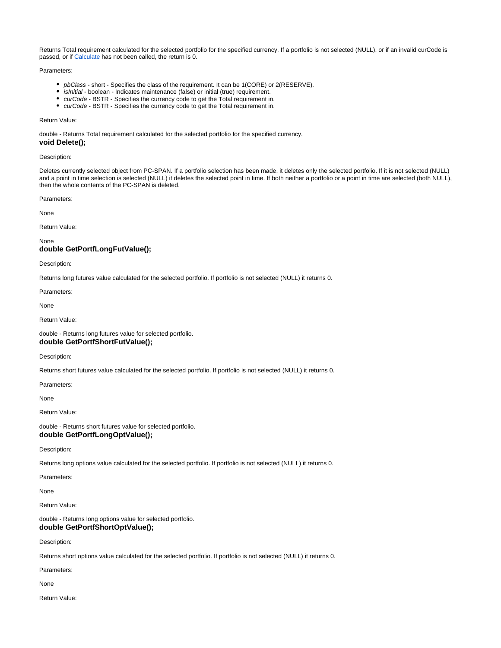Returns Total requirement calculated for the selected portfolio for the specified currency. If a portfolio is not selected (NULL), or if an invalid curCode is passed, or if [Calculate](#page-3-0) has not been called, the return is 0.

# Parameters:

- pbClass short Specifies the class of the requirement. It can be 1(CORE) or 2(RESERVE).
- isInitial boolean Indicates maintenance (false) or initial (true) requirement.
- curCode BSTR Specifies the currency code to get the Total requirement in.
- *curCode* BSTR Specifies the currency code to get the Total requirement in.

# Return Value:

double - Returns Total requirement calculated for the selected portfolio for the specified currency.

# <span id="page-4-0"></span>**void Delete();**

# Description:

Deletes currently selected object from PC-SPAN. If a portfolio selection has been made, it deletes only the selected portfolio. If it is not selected (NULL) and a point in time selection is selected (NULL) it deletes the selected point in time. If both neither a portfolio or a point in time are selected (both NULL), then the whole contents of the PC-SPAN is deleted.

Parameters:

None

Return Value:

None

# <span id="page-4-1"></span>**double GetPortfLongFutValue();**

Description:

Returns long futures value calculated for the selected portfolio. If portfolio is not selected (NULL) it returns 0.

Parameters:

None

Return Value:

<span id="page-4-2"></span>double - Returns long futures value for selected portfolio. **double GetPortfShortFutValue();**

# Description:

Returns short futures value calculated for the selected portfolio. If portfolio is not selected (NULL) it returns 0.

Parameters:

None

Return Value:

<span id="page-4-3"></span>double - Returns short futures value for selected portfolio. **double GetPortfLongOptValue();**

Description:

Returns long options value calculated for the selected portfolio. If portfolio is not selected (NULL) it returns 0.

Parameters:

None

Return Value:

<span id="page-4-4"></span>double - Returns long options value for selected portfolio. **double GetPortfShortOptValue();**

Description:

Returns short options value calculated for the selected portfolio. If portfolio is not selected (NULL) it returns 0.

Parameters:

None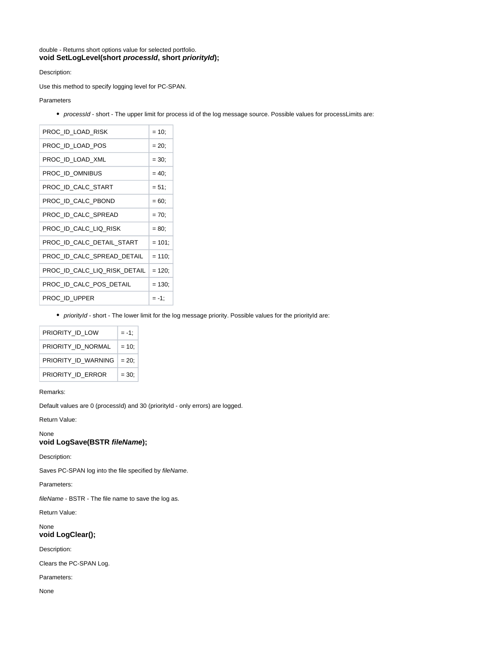<span id="page-5-0"></span>double - Returns short options value for selected portfolio. **void SetLogLevel(short processId, short priorityId);**

Description:

Use this method to specify logging level for PC-SPAN.

Parameters

processId - short - The upper limit for process id of the log message source. Possible values for processLimits are:

| PROC ID LOAD RISK            | $= 10$    |
|------------------------------|-----------|
| PROC ID LOAD POS             | $= 20$ ;  |
| PROC ID LOAD XML             | $= 30$ ;  |
| PROC ID OMNIBUS              | $= 40$ ;  |
| PROC ID CALC START           | $= 51$    |
| PROC ID CALC PBOND           | $= 60$ ;  |
| PROC ID CALC SPREAD          | $= 70;$   |
| PROC ID CALC LIQ RISK        | $= 80$    |
| PROC ID CALC DETAIL START    | $= 101$   |
| PROC ID CALC SPREAD DETAIL   | $= 110$ ; |
| PROC_ID_CALC_LIQ_RISK_DETAIL | $= 120$ ; |
| PROC ID CALC POS DETAIL      | $= 130$   |
| PROC ID UPPER                | = -1:     |

• priorityId - short - The lower limit for the log message priority. Possible values for the priorityId are:

| PRIORITY ID LOW     | = -1:    |
|---------------------|----------|
| PRIORITY ID NORMAL  | $= 10$   |
| PRIORITY ID WARNING | $= 20$ : |
| PRIORITY ID ERROR   | $= 30:$  |

# Remarks:

Default values are 0 (processId) and 30 (priorityId - only errors) are logged.

Return Value:

<span id="page-5-1"></span>None **void LogSave(BSTR fileName);**

Description:

Saves PC-SPAN log into the file specified by fileName.

Parameters:

fileName - BSTR - The file name to save the log as.

Return Value:

<span id="page-5-2"></span>None **void LogClear();**

Description:

Clears the PC-SPAN Log.

Parameters:

None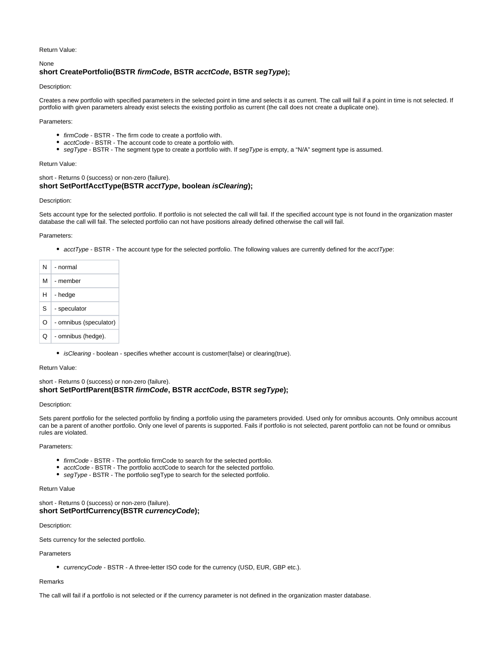Return Value:

# <span id="page-6-0"></span>**short CreatePortfolio(BSTR firmCode, BSTR acctCode, BSTR segType);**

Description:

None

Creates a new portfolio with specified parameters in the selected point in time and selects it as current. The call will fail if a point in time is not selected. If portfolio with given parameters already exist selects the existing portfolio as current (the call does not create a duplicate one).

Parameters:

- firmCode BSTR The firm code to create a portfolio with.
- acctCode BSTR The account code to create a portfolio with.
- segType BSTR The segment type to create a portfolio with. If segType is empty, a "N/A" segment type is assumed.

Return Value:

<span id="page-6-1"></span>short - Returns 0 (success) or non-zero (failure). **short SetPortfAcctType(BSTR acctType, boolean isClearing);**

# Description:

Sets account type for the selected portfolio. If portfolio is not selected the call will fail. If the specified account type is not found in the organization master database the call will fail. The selected portfolio can not have positions already defined otherwise the call will fail.

# Parameters:

• acctType - BSTR - The account type for the selected portfolio. The following values are currently defined for the acctType:

| N  | - normal               |
|----|------------------------|
| М  | - member               |
| н  | - hedge                |
| S. | - speculator           |
| O  | - omnibus (speculator) |
| Ω  | - omnibus (hedge).     |

• isClearing - boolean - specifies whether account is customer(false) or clearing(true).

Return Value:

<span id="page-6-2"></span>short - Returns 0 (success) or non-zero (failure). **short SetPortfParent(BSTR firmCode, BSTR acctCode, BSTR segType);**

# Description:

Sets parent portfolio for the selected portfolio by finding a portfolio using the parameters provided. Used only for omnibus accounts. Only omnibus account can be a parent of another portfolio. Only one level of parents is supported. Fails if portfolio is not selected, parent portfolio can not be found or omnibus rules are violated.

Parameters:

- firmCode BSTR The portfolio firmCode to search for the selected portfolio.
- acctCode BSTR The portfolio acctCode to search for the selected portfolio.
- segType BSTR The portfolio segType to search for the selected portfolio.

# Return Value

<span id="page-6-3"></span>short - Returns 0 (success) or non-zero (failure). **short SetPortfCurrency(BSTR currencyCode);**

Description:

Sets currency for the selected portfolio.

Parameters

currencyCode - BSTR - A three-letter ISO code for the currency (USD, EUR, GBP etc.).

#### Remarks

The call will fail if a portfolio is not selected or if the currency parameter is not defined in the organization master database.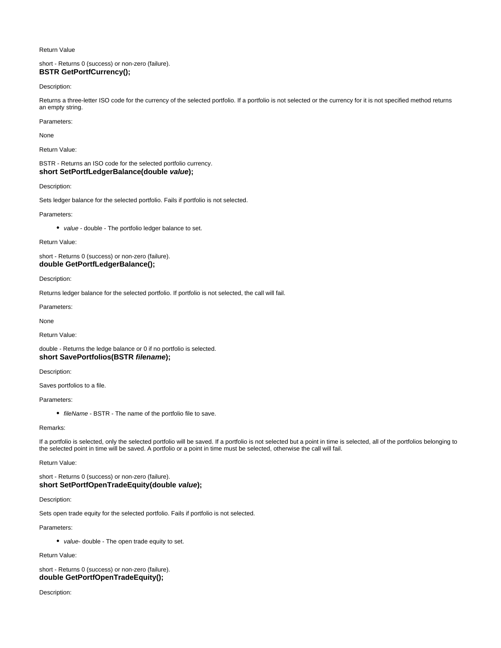#### Return Value

# <span id="page-7-0"></span>short - Returns 0 (success) or non-zero (failure). **BSTR GetPortfCurrency();**

# Description:

Returns a three-letter ISO code for the currency of the selected portfolio. If a portfolio is not selected or the currency for it is not specified method returns an empty string.

#### Parameters:

None

Return Value:

# <span id="page-7-1"></span>BSTR - Returns an ISO code for the selected portfolio currency. **short SetPortfLedgerBalance(double value);**

# Description:

Sets ledger balance for the selected portfolio. Fails if portfolio is not selected.

Parameters:

• value - double - The portfolio ledger balance to set.

Return Value:

# <span id="page-7-2"></span>short - Returns 0 (success) or non-zero (failure). **double GetPortfLedgerBalance();**

Description:

Returns ledger balance for the selected portfolio. If portfolio is not selected, the call will fail.

Parameters:

None

Return Value:

<span id="page-7-3"></span>double - Returns the ledge balance or 0 if no portfolio is selected. **short SavePortfolios(BSTR filename);**

Description:

Saves portfolios to a file.

# Parameters:

• fileName - BSTR - The name of the portfolio file to save.

# Remarks:

If a portfolio is selected, only the selected portfolio will be saved. If a portfolio is not selected but a point in time is selected, all of the portfolios belonging to the selected point in time will be saved. A portfolio or a point in time must be selected, otherwise the call will fail.

Return Value:

# <span id="page-7-4"></span>short - Returns 0 (success) or non-zero (failure). **short SetPortfOpenTradeEquity(double value);**

Description:

Sets open trade equity for the selected portfolio. Fails if portfolio is not selected.

Parameters:

• value- double - The open trade equity to set.

Return Value:

# <span id="page-7-5"></span>short - Returns 0 (success) or non-zero (failure). **double GetPortfOpenTradeEquity();**

Description: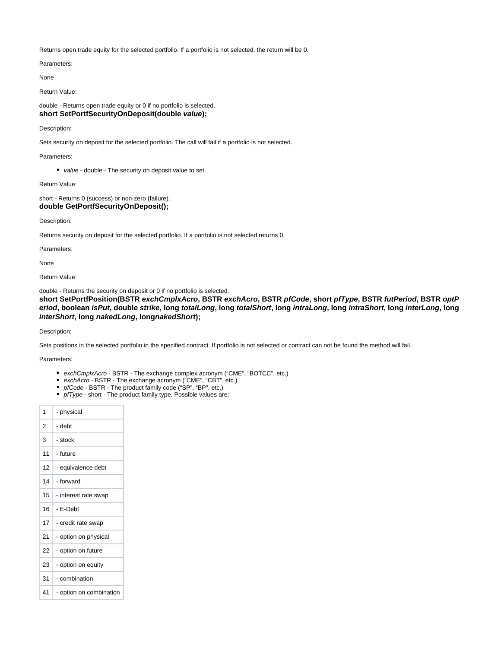Returns open trade equity for the selected portfolio. If a portfolio is not selected, the return will be 0.

Parameters:

None

Return Value:

<span id="page-8-0"></span>double - Returns open trade equity or 0 if no portfolio is selected. **short SetPortfSecurityOnDeposit(double value);**

Description:

Sets security on deposit for the selected portfolio. The call will fail if a portfolio is not selected.

Parameters:

• value - double - The security on deposit value to set.

Return Value:

<span id="page-8-1"></span>short - Returns 0 (success) or non-zero (failure). **double GetPortfSecurityOnDeposit();**

Description:

Returns security on deposit for the selected portfolio. If a portfolio is not selected returns 0.

Parameters:

None

Return Value:

double - Returns the security on deposit or 0 if no portfolio is selected.

<span id="page-8-2"></span>**short SetPortfPosition(BSTR exchCmplxAcro, BSTR exchAcro, BSTR pfCode, short pfType, BSTR futPeriod, BSTR optP** eriod, boolean isPut, double strike, long totalLong, long totalShort, long intraLong, long intraShort, long interLong, long **interShort, long nakedLong, longnakedShort);**

Description:

Sets positions in the selected portfolio in the specified contract. If portfolio is not selected or contract can not be found the method will fail.

# Parameters:

- exchCmplxAcro BSTR The exchange complex acronym ("CME", "BOTCC", etc.)
- exchAcro BSTR The exchange acronym ("CME", "CBT", etc.)
- pfCode BSTR The product family code ("SP", "BP", etc.)
- pfType short The product family type. Possible values are:

| 1  | - physical              |
|----|-------------------------|
| 2  | - debt                  |
| 3  | - stock                 |
| 11 | - future                |
| 12 | - equivalence debt      |
| 14 | - forward               |
| 15 | - interest rate swap    |
| 16 | - E-Debt                |
| 17 | - credit rate swap      |
| 21 | - option on physical    |
| 22 | - option on future      |
| 23 | - option on equity      |
| 31 | - combination           |
| 41 | - option on combination |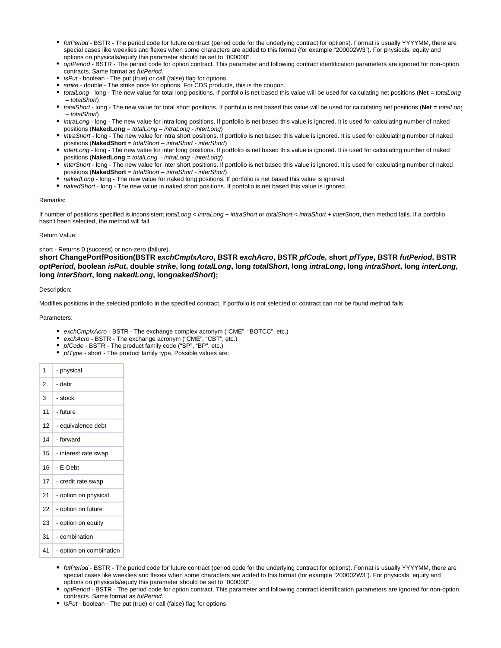- futPeriod BSTR The period code for future contract (period code for the underlying contract for options). Format is usually YYYYMM, there are special cases like weeklies and flexes when some characters are added to this format (for example "200002W3"). For physicals, equity and options on physicals/equity this parameter should be set to "000000".
- optPeriod BSTR The period code for option contract. This parameter and following contract identification parameters are ignored for non-option contracts. Same format as futPeriod.
- *isPut* boolean The put (true) or call (false) flag for options.
- strike double The strike price for options. For CDS products, this is the coupon.
- totalLong long The new value for total long positions. If portfolio is net based this value will be used for calculating net positions (**Net** = totalLong – totalShort)
- totalShort long The new value for total short positions. If portfolio is net based this value will be used for calculating net positions (Net = totalLong – totalShort)
- intraLong long The new value for intra long positions. If portfolio is net based this value is ignored. It is used for calculating number of naked positions (**NakedLong** = totalLong – intraLong - interLong)
- intraShort long The new value for intra short positions. If portfolio is net based this value is ignored. It is used for calculating number of naked positions (**NakedShort** = totalShort – intraShort - interShort)
- $\bullet$  interLong long The new value for inter long positions. If portfolio is net based this value is ignored. It is used for calculating number of naked positions (**NakedLong** = totalLong – intraLong - interLong)
- interShort long The new value for inter short positions. If portfolio is net based this value is ignored. It is used for calculating number of naked positions (**NakedShort** = totalShort – intraShort - interShort)
- nakedLong long The new value for naked long positions. If portfolio is net based this value is ignored.
- nakedShort long The new value in naked short positions. If portfolio is net based this value is ignored.

# Remarks:

If number of positions specified is inconsistent totalLong < intraLong + intraShort or totalShort < intraShort + interShort, then method fails. If a portfolio hasn't been selected, the method will fail.

# Return Value:

# short - Returns 0 (success) or non-zero (failure).

<span id="page-9-0"></span>**short ChangePortfPosition(BSTR exchCmplxAcro, BSTR exchAcro, BSTR pfCode, short pfType, BSTR futPeriod, BSTR**  optPeriod, boolean isPut, double strike, long totalLong, long totalShort, long intraLong, long intraShort, long interLong, **long interShort, long nakedLong, longnakedShort);**

# Description:

Modifies positions in the selected portfolio in the specified contract. If portfolio is not selected or contract can not be found method fails.

# Parameters:

- exchCmplxAcro BSTR The exchange complex acronym ("CME", "BOTCC", etc.)
- exchAcro BSTR The exchange acronym ("CME", "CBT", etc.)
- pfCode BSTR The product family code ("SP", "BP", etc.)
- pfType short The product family type. Possible values are:

| 1  | - physical              |
|----|-------------------------|
| 2  | - debt                  |
| 3  | - stock                 |
| 11 | - future                |
| 12 | - equivalence debt      |
| 14 | - forward               |
| 15 | - interest rate swap    |
| 16 | - E-Debt                |
| 17 | - credit rate swap      |
| 21 | - option on physical    |
| 22 | - option on future      |
| 23 | - option on equity      |
| 31 | - combination           |
| 41 | - option on combination |

- futPeriod BSTR The period code for future contract (period code for the underlying contract for options). Format is usually YYYYMM, there are special cases like weeklies and flexes when some characters are added to this format (for example "200002W3"). For physicals, equity and options on physicals/equity this parameter should be set to "000000".
- optPeriod BSTR The period code for option contract. This parameter and following contract identification parameters are ignored for non-option contracts. Same format as futPeriod.
- isPut boolean The put (true) or call (false) flag for options.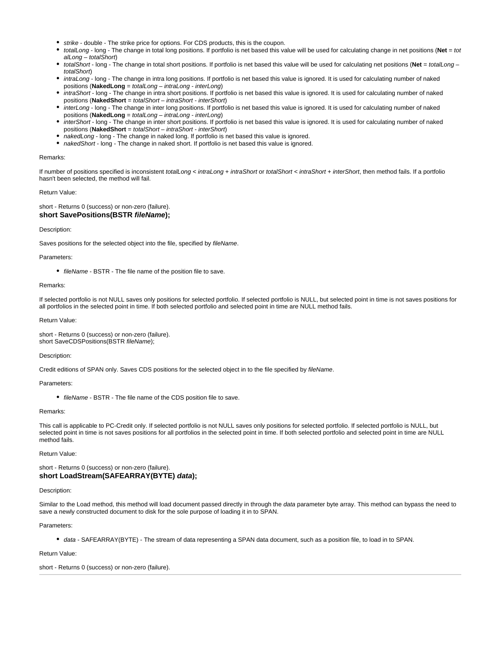- strike double The strike price for options. For CDS products, this is the coupon.
- totalLong long The change in total long positions. If portfolio is net based this value will be used for calculating change in net positions (**Net** = tot alLong – totalShort)
- totalShort long The change in total short positions. If portfolio is net based this value will be used for calculating net positions (**Net** = totalLong totalShort)
- intraLong long The change in intra long positions. If portfolio is net based this value is ignored. It is used for calculating number of naked positions (**NakedLong** = totalLong – intraLong - interLong)
- intraShort long The change in intra short positions. If portfolio is net based this value is ignored. It is used for calculating number of naked positions (**NakedShort** = totalShort – intraShort - interShort)
- interLong long The change in inter long positions. If portfolio is net based this value is ignored. It is used for calculating number of naked positions (**NakedLong** = totalLong – intraLong - interLong)
- interShort long The change in inter short positions. If portfolio is net based this value is ignored. It is used for calculating number of naked positions (**NakedShort** = totalShort – intraShort - interShort)
- nakedLong long The change in naked long. If portfolio is net based this value is ignored.
- nakedShort long The change in naked short. If portfolio is net based this value is ignored.

#### Remarks:

If number of positions specified is inconsistent totalLong < intraLong + intraShort or totalShort < intraShort + interShort, then method fails. If a portfolio hasn't been selected, the method will fail.

# Return Value:

# <span id="page-10-0"></span>short - Returns 0 (success) or non-zero (failure). **short SavePositions(BSTR fileName);**

#### Description:

Saves positions for the selected object into the file, specified by fileName.

#### Parameters:

• fileName - BSTR - The file name of the position file to save.

#### Remarks:

If selected portfolio is not NULL saves only positions for selected portfolio. If selected portfolio is NULL, but selected point in time is not saves positions for all portfolios in the selected point in time. If both selected portfolio and selected point in time are NULL method fails.

#### Return Value:

short - Returns 0 (success) or non-zero (failure). short SaveCDSPositions(BSTR fileName);

#### Description:

Credit editions of SPAN only. Saves CDS positions for the selected object in to the file specified by fileName.

#### Parameters:

• fileName - BSTR - The file name of the CDS position file to save.

#### Remarks:

This call is applicable to PC-Credit only. If selected portfolio is not NULL saves only positions for selected portfolio. If selected portfolio is NULL, but selected point in time is not saves positions for all portfolios in the selected point in time. If both selected portfolio and selected point in time are NULL method fails.

# Return Value:

# <span id="page-10-1"></span>short - Returns 0 (success) or non-zero (failure). **short LoadStream(SAFEARRAY(BYTE) data);**

# Description:

Similar to the Load method, this method will load document passed directly in through the data parameter byte array. This method can bypass the need to save a newly constructed document to disk for the sole purpose of loading it in to SPAN.

#### Parameters:

• data - SAFEARRAY(BYTE) - The stream of data representing a SPAN data document, such as a position file, to load in to SPAN.

#### Return Value:

<span id="page-10-2"></span>short - Returns 0 (success) or non-zero (failure).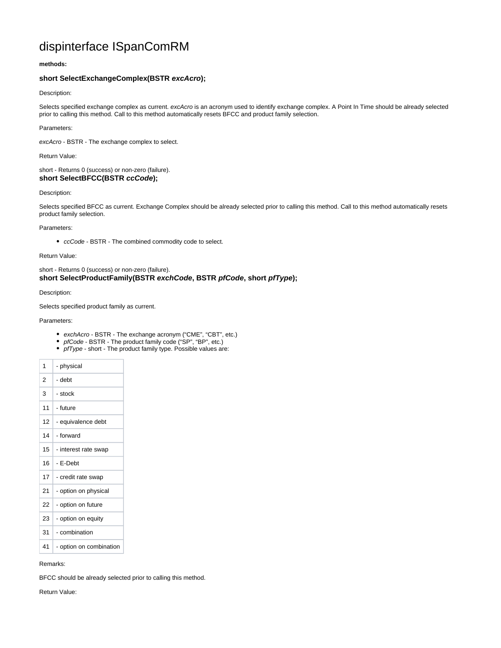# dispinterface ISpanComRM

# **methods:**

# <span id="page-11-0"></span>**short SelectExchangeComplex(BSTR excAcro);**

# Description:

Selects specified exchange complex as current. excAcro is an acronym used to identify exchange complex. A Point In Time should be already selected prior to calling this method. Call to this method automatically resets BFCC and product family selection.

# Parameters:

excAcro - BSTR - The exchange complex to select.

Return Value:

# <span id="page-11-1"></span>short - Returns 0 (success) or non-zero (failure). **short SelectBFCC(BSTR ccCode);**

# Description:

Selects specified BFCC as current. Exchange Complex should be already selected prior to calling this method. Call to this method automatically resets product family selection.

# Parameters:

ccCode - BSTR - The combined commodity code to select.

# Return Value:

# <span id="page-11-2"></span>short - Returns 0 (success) or non-zero (failure). **short SelectProductFamily(BSTR exchCode, BSTR pfCode, short pfType);**

Description:

Selects specified product family as current.

# Parameters:

- exchAcro BSTR The exchange acronym ("CME", "CBT", etc.)
- pfCode BSTR The product family code ("SP", "BP", etc.)
- pfType short The product family type. Possible values are:

| 1                | - physical              |
|------------------|-------------------------|
| 2                | - debt                  |
| 3                | - stock                 |
| 11               | - future                |
| 12 <sup>12</sup> | - equivalence debt      |
| 14               | - forward               |
| 15               | - interest rate swap    |
| 16               | - E-Debt                |
| 17               | - credit rate swap      |
| 21               | - option on physical    |
| 22               | - option on future      |
| 23               | - option on equity      |
| 31               | - combination           |
| 41               | - option on combination |
|                  |                         |

# Remarks:

BFCC should be already selected prior to calling this method.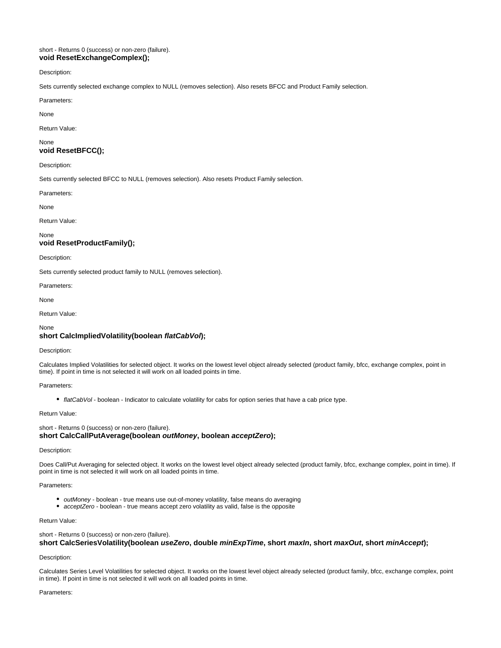# <span id="page-12-0"></span>short - Returns 0 (success) or non-zero (failure). **void ResetExchangeComplex();**

Description:

Sets currently selected exchange complex to NULL (removes selection). Also resets BFCC and Product Family selection.

Parameters:

None

Return Value:

# <span id="page-12-1"></span>None **void ResetBFCC();**

Description:

Sets currently selected BFCC to NULL (removes selection). Also resets Product Family selection.

Parameters:

None

Return Value:

None

# <span id="page-12-2"></span>**void ResetProductFamily();**

Description:

Sets currently selected product family to NULL (removes selection).

Parameters:

None

Return Value:

None

# <span id="page-12-3"></span>**short CalcImpliedVolatility(boolean flatCabVol);**

# Description:

Calculates Implied Volatilities for selected object. It works on the lowest level object already selected (product family, bfcc, exchange complex, point in time). If point in time is not selected it will work on all loaded points in time.

# Parameters:

• flatCabVol - boolean - Indicator to calculate volatility for cabs for option series that have a cab price type.

Return Value:

<span id="page-12-4"></span>short - Returns 0 (success) or non-zero (failure). **short CalcCallPutAverage(boolean outMoney, boolean acceptZero);**

# Description:

Does Call/Put Averaging for selected object. It works on the lowest level object already selected (product family, bfcc, exchange complex, point in time). If point in time is not selected it will work on all loaded points in time.

Parameters:

- $\bullet$  outMoney boolean true means use out-of-money volatility, false means do averaging
- acceptZero boolean true means accept zero volatility as valid, false is the opposite

# Return Value:

<span id="page-12-5"></span>short - Returns 0 (success) or non-zero (failure). **short CalcSeriesVolatility(boolean useZero, double minExpTime, short maxIn, short maxOut, short minAccept);**

# Description:

Calculates Series Level Volatilities for selected object. It works on the lowest level object already selected (product family, bfcc, exchange complex, point in time). If point in time is not selected it will work on all loaded points in time.

# Parameters: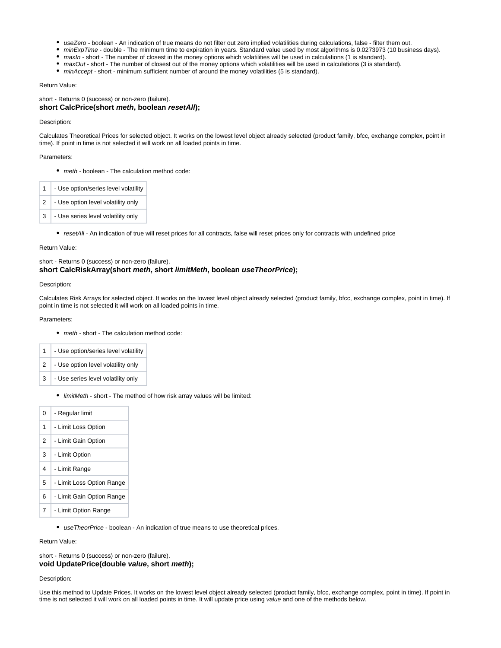- useZero boolean An indication of true means do not filter out zero implied volatilities during calculations, false filter them out.
- minExpTime double The minimum time to expiration in years. Standard value used by most algorithms is 0.0273973 (10 business days).
- maxIn short The number of closest in the money options which volatilities will be used in calculations (1 is standard).
- maxOut short The number of closest out of the money options which volatilities will be used in calculations (3 is standard).
- minAccept short minimum sufficient number of around the money volatilities (5 is standard).

# Return Value:

<span id="page-13-0"></span>short - Returns 0 (success) or non-zero (failure). **short CalcPrice(short meth, boolean resetAll);**

#### Description:

Calculates Theoretical Prices for selected object. It works on the lowest level object already selected (product family, bfcc, exchange complex, point in time). If point in time is not selected it will work on all loaded points in time.

# Parameters:

• meth - boolean - The calculation method code:

| 1 | - Use option/series level volatility |
|---|--------------------------------------|
| 2 | - Use option level volatility only   |
| 3 | - Use series level volatility only   |

resetAll - An indication of true will reset prices for all contracts, false will reset prices only for contracts with undefined price

# Return Value:

# <span id="page-13-1"></span>short - Returns 0 (success) or non-zero (failure). **short CalcRiskArray(short meth, short limitMeth, boolean useTheorPrice);**

#### Description:

Calculates Risk Arrays for selected object. It works on the lowest level object already selected (product family, bfcc, exchange complex, point in time). If point in time is not selected it will work on all loaded points in time.

#### Parameters:

• meth - short - The calculation method code:

| 1              | - Use option/series level volatility |
|----------------|--------------------------------------|
| 2 <sup>1</sup> | - Use option level volatility only   |
| 3              | - Use series level volatility only   |

**·** limitMeth - short - The method of how risk array values will be limited:

| 0 | - Regular limit           |
|---|---------------------------|
| 1 | - Limit Loss Option       |
| 2 | - Limit Gain Option       |
| 3 | - Limit Option            |
| 4 | - Limit Range             |
| 5 | - Limit Loss Option Range |
| 6 | - Limit Gain Option Range |
| 7 | - Limit Option Range      |

• use TheorPrice - boolean - An indication of true means to use theoretical prices.

Return Value:

<span id="page-13-2"></span>short - Returns 0 (success) or non-zero (failure). **void UpdatePrice(double value, short meth);**

Description:

Use this method to Update Prices. It works on the lowest level object already selected (product family, bfcc, exchange complex, point in time). If point in time is not selected it will work on all loaded points in time. It will update price using value and one of the methods below.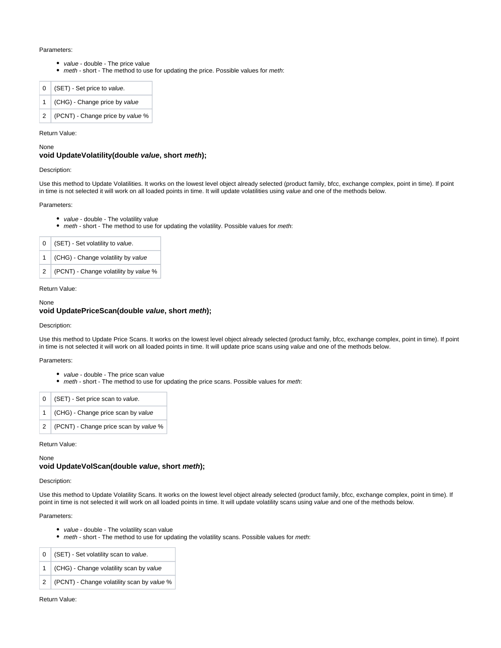### Parameters:

- value double The price value
- meth short The method to use for updating the price. Possible values for meth:

|  | $0$ (SET) - Set price to value.    |
|--|------------------------------------|
|  | 1 (CHG) - Change price by value    |
|  | 2 (PCNT) - Change price by value % |

# Return Value:

None

# <span id="page-14-0"></span>**void UpdateVolatility(double value, short meth);**

# Description:

Use this method to Update Volatilities. It works on the lowest level object already selected (product family, bfcc, exchange complex, point in time). If point in time is not selected it will work on all loaded points in time. It will update volatilities using value and one of the methods below.

# Parameters:

- value double The volatility value
- meth short The method to use for updating the volatility. Possible values for meth:

| 0 | (SET) - Set volatility to value.       |
|---|----------------------------------------|
|   | 1   (CHG) - Change volatility by value |
| 2 | (PCNT) - Change volatility by value %  |

# Return Value:

# <span id="page-14-1"></span>None **void UpdatePriceScan(double value, short meth);**

Description:

Use this method to Update Price Scans. It works on the lowest level object already selected (product family, bfcc, exchange complex, point in time). If point in time is not selected it will work on all loaded points in time. It will update price scans using value and one of the methods below.

#### Parameters:

- value double The price scan value
- meth short The method to use for updating the price scans. Possible values for meth:

| $0$ (SET) - Set price scan to value.    |
|-----------------------------------------|
| 1 (CHG) - Change price scan by value    |
| 2 (PCNT) - Change price scan by value % |

#### Return Value:

None

# <span id="page-14-2"></span>**void UpdateVolScan(double value, short meth);**

# Description:

Use this method to Update Volatility Scans. It works on the lowest level object already selected (product family, bfcc, exchange complex, point in time). If point in time is not selected it will work on all loaded points in time. It will update volatility scans using value and one of the methods below.

#### Parameters:

- value double The volatility scan value
- meth short The method to use for updating the volatility scans. Possible values for meth:

| $\mathbf{0}$ | (SET) - Set volatility scan to value.          |
|--------------|------------------------------------------------|
|              | 1 (CHG) - Change volatility scan by value      |
|              | 2   (PCNT) - Change volatility scan by value % |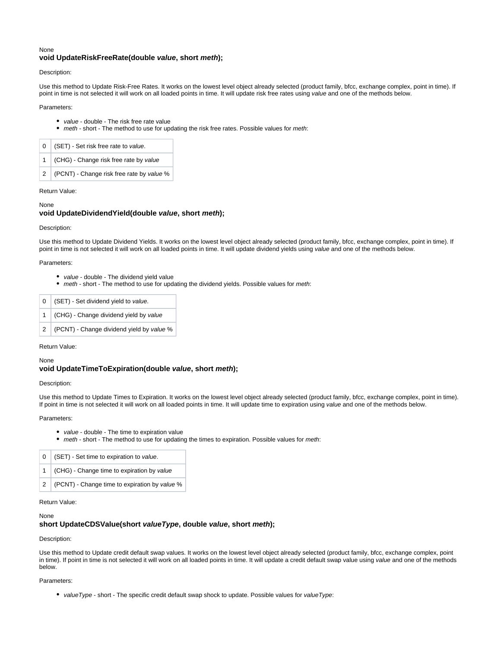# <span id="page-15-0"></span>None **void UpdateRiskFreeRate(double value, short meth);**

# Description:

Use this method to Update Risk-Free Rates. It works on the lowest level object already selected (product family, bfcc, exchange complex, point in time). If point in time is not selected it will work on all loaded points in time. It will update risk free rates using value and one of the methods below.

# Parameters:

- value double The risk free rate value
- meth short The method to use for updating the risk free rates. Possible values for meth:

| $0$ (SET) - Set risk free rate to value.      |
|-----------------------------------------------|
| 1 (CHG) - Change risk free rate by value      |
| 2   (PCNT) - Change risk free rate by value % |

#### Return Value:

# None

# <span id="page-15-1"></span>**void UpdateDividendYield(double value, short meth);**

# Description:

Use this method to Update Dividend Yields. It works on the lowest level object already selected (product family, bfcc, exchange complex, point in time). If point in time is not selected it will work on all loaded points in time. It will update dividend yields using value and one of the methods below.

# Parameters:

- value double The dividend vield value
- meth short The method to use for updating the dividend yields. Possible values for meth:

|  | $0$ (SET) - Set dividend yield to value.    |
|--|---------------------------------------------|
|  | 1 (CHG) - Change dividend yield by value    |
|  | 2 (PCNT) - Change dividend yield by value % |

# Return Value:

# None

# <span id="page-15-2"></span>**void UpdateTimeToExpiration(double value, short meth);**

# Description:

Use this method to Update Times to Expiration. It works on the lowest level object already selected (product family, bfcc, exchange complex, point in time). If point in time is not selected it will work on all loaded points in time. It will update time to expiration using value and one of the methods below.

#### Parameters:

- value double The time to expiration value
- meth short The method to use for updating the times to expiration. Possible values for meth:

| $0$ (SET) - Set time to expiration to value.    |
|-------------------------------------------------|
| 1 (CHG) - Change time to expiration by value    |
| 2 (PCNT) - Change time to expiration by value % |

# Return Value:

# <span id="page-15-3"></span>None

# **short UpdateCDSValue(short valueType, double value, short meth);**

# Description:

Use this method to Update credit default swap values. It works on the lowest level object already selected (product family, bfcc, exchange complex, point in time). If point in time is not selected it will work on all loaded points in time. It will update a credit default swap value using value and one of the methods below.

# Parameters:

• valueType - short - The specific credit default swap shock to update. Possible values for valueType: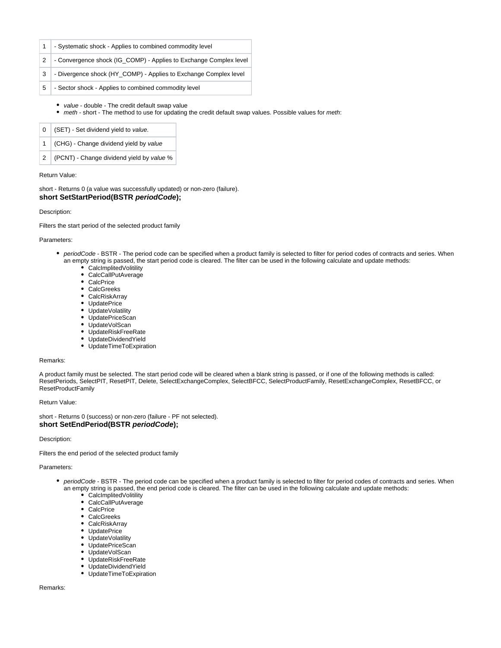- 1 Systematic shock Applies to combined commodity level
- 2 Convergence shock (IG\_COMP) Applies to Exchange Complex level
- 3 Divergence shock (HY\_COMP) Applies to Exchange Complex level
- 5 Sector shock Applies to combined commodity level
	- value double The credit default swap value
	- meth short The method to use for updating the credit default swap values. Possible values for meth:

|  | 1 (CHG) - Change dividend yield by value      |
|--|-----------------------------------------------|
|  | 2   (PCNT) - Change dividend yield by value % |

# Return Value:

<span id="page-16-0"></span>short - Returns 0 (a value was successfully updated) or non-zero (failure). **short SetStartPeriod(BSTR periodCode);**

# Description:

Filters the start period of the selected product family

# Parameters:

- periodCode BSTR The period code can be specified when a product family is selected to filter for period codes of contracts and series. When an empty string is passed, the start period code is cleared. The filter can be used in the following calculate and update methods:
	- CalcImplitedVolitility CalcCallPutAverage
	-
	- $\bullet$ **CalcPrice**
	- CalcGreeks
	- CalcRiskArray
	- UpdatePrice
	- UpdateVolatility • UpdatePriceScan
	-
	- UpdateVolScan
	- UpdateRiskFreeRate • UpdateDividendYield
	- UpdateTimeToExpiration

# Remarks:

A product family must be selected. The start period code will be cleared when a blank string is passed, or if one of the following methods is called: ResetPeriods, SelectPIT, ResetPIT, Delete, SelectExchangeComplex, SelectBFCC, SelectProductFamily, ResetExchangeComplex, ResetBFCC, or ResetProductFamily

# Return Value:

<span id="page-16-1"></span>short - Returns 0 (success) or non-zero (failure - PF not selected). **short SetEndPeriod(BSTR periodCode);**

# Description:

Filters the end period of the selected product family

### Parameters:

- periodCode BSTR The period code can be specified when a product family is selected to filter for period codes of contracts and series. When an empty string is passed, the end period code is cleared. The filter can be used in the following calculate and update methods:
	- CalcImplitedVolitility
	- CalcCallPutAverage
	- CalcPrice
	- CalcGreeks
	- CalcRiskArray
	- UpdatePrice
	- UpdateVolatility
	- UpdatePriceScan
	- UpdateVolScan
	- UpdateRiskFreeRate
	- UpdateDividendYield
	- UpdateTimeToExpiration

# Remarks: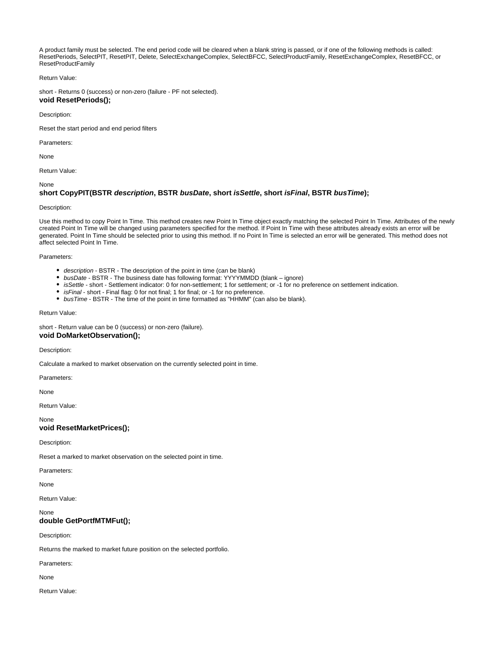A product family must be selected. The end period code will be cleared when a blank string is passed, or if one of the following methods is called: ResetPeriods, SelectPIT, ResetPIT, Delete, SelectExchangeComplex, SelectBFCC, SelectProductFamily, ResetExchangeComplex, ResetBFCC, or ResetProductFamily

Return Value:

short - Returns 0 (success) or non-zero (failure - PF not selected).

# <span id="page-17-0"></span>**void ResetPeriods();**

Description:

Reset the start period and end period filters

Parameters:

None

Return Value:

<span id="page-17-1"></span>None

# **short CopyPIT(BSTR description, BSTR busDate, short isSettle, short isFinal, BSTR busTime);**

# Description:

Use this method to copy Point In Time. This method creates new Point In Time object exactly matching the selected Point In Time. Attributes of the newly created Point In Time will be changed using parameters specified for the method. If Point In Time with these attributes already exists an error will be generated. Point In Time should be selected prior to using this method. If no Point In Time is selected an error will be generated. This method does not affect selected Point In Time.

Parameters:

- description BSTR The description of the point in time (can be blank)
- busDate BSTR The business date has following format: YYYYMMDD (blank ignore)
- isSettle short Settlement indicator: 0 for non-settlement; 1 for settlement; or -1 for no preference on settlement indication.
- *isFinal* short Final flag: 0 for not final; 1 for final; or -1 for no preference.
- busTime BSTR The time of the point in time formatted as "HHMM" (can also be blank).

# Return Value:

<span id="page-17-2"></span>short - Return value can be 0 (success) or non-zero (failure). **void DoMarketObservation();**

Description:

Calculate a marked to market observation on the currently selected point in time.

Parameters:

None

Return Value:

None

# <span id="page-17-3"></span>**void ResetMarketPrices();**

Description:

Reset a marked to market observation on the selected point in time.

Parameters:

None

Return Value:

# <span id="page-17-4"></span>None **double GetPortfMTMFut();**

Description:

Returns the marked to market future position on the selected portfolio.

Parameters:

None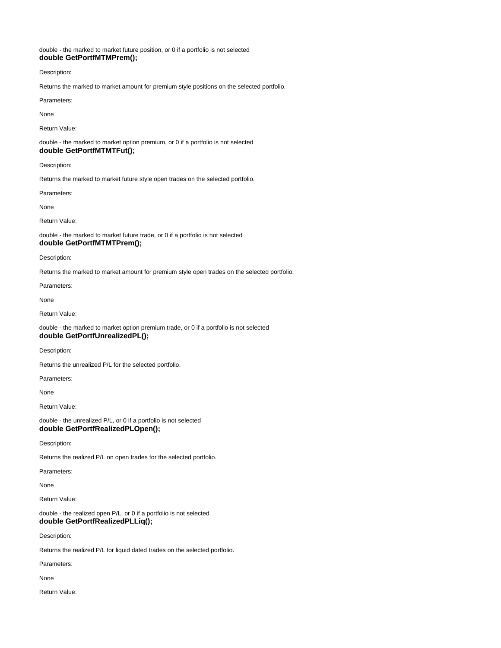# <span id="page-18-0"></span>double - the marked to market future position, or 0 if a portfolio is not selected **double GetPortfMTMPrem();**

Description:

Returns the marked to market amount for premium style positions on the selected portfolio.

Parameters:

None

# Return Value:

<span id="page-18-1"></span>double - the marked to market option premium, or 0 if a portfolio is not selected **double GetPortfMTMTFut();**

Description:

Returns the marked to market future style open trades on the selected portfolio.

Parameters:

None

Return Value:

<span id="page-18-2"></span>double - the marked to market future trade, or 0 if a portfolio is not selected **double GetPortfMTMTPrem();**

Description:

Returns the marked to market amount for premium style open trades on the selected portfolio.

Parameters:

None

Return Value:

<span id="page-18-3"></span>double - the marked to market option premium trade, or 0 if a portfolio is not selected **double GetPortfUnrealizedPL();**

Description:

Returns the unrealized P/L for the selected portfolio.

Parameters:

None

Return Value:

<span id="page-18-4"></span>double - the unrealized P/L, or 0 if a portfolio is not selected **double GetPortfRealizedPLOpen();**

Description:

Returns the realized P/L on open trades for the selected portfolio.

Parameters:

None

Return Value:

<span id="page-18-5"></span>double - the realized open P/L, or 0 if a portfolio is not selected **double GetPortfRealizedPLLiq();**

Description:

Returns the realized P/L for liquid dated trades on the selected portfolio.

Parameters:

None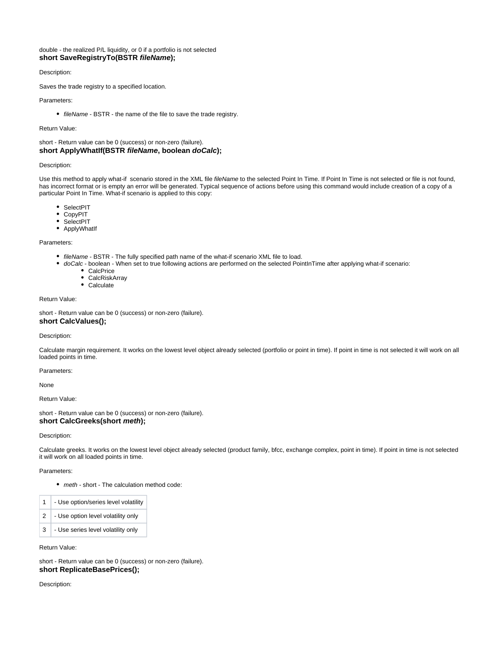# <span id="page-19-0"></span>double - the realized P/L liquidity, or 0 if a portfolio is not selected **short SaveRegistryTo(BSTR fileName);**

# Description:

Saves the trade registry to a specified location.

# Parameters:

• fileName - BSTR - the name of the file to save the trade registry.

# Return Value:

<span id="page-19-1"></span>short - Return value can be 0 (success) or non-zero (failure). **short ApplyWhatIf(BSTR fileName, boolean doCalc);**

# Description:

Use this method to apply what-if scenario stored in the XML file fileName to the selected Point In Time. If Point In Time is not selected or file is not found, has incorrect format or is empty an error will be generated. Typical sequence of actions before using this command would include creation of a copy of a particular Point In Time. What-if scenario is applied to this copy:

- SelectPIT
- CopyPIT
- SelectPIT
- ApplyWhatIf

#### Parameters:

- fileName BSTR The fully specified path name of the what-if scenario XML file to load.
- doCalc boolean When set to true following actions are performed on the selected PointInTime after applying what-if scenario:  $\bullet$ 
	- CalcPrice
	- $\bullet$ **CalcRiskArray**
	- Calculate

# Return Value:

short - Return value can be 0 (success) or non-zero (failure).

# <span id="page-19-2"></span>**short CalcValues();**

# Description:

Calculate margin requirement. It works on the lowest level object already selected (portfolio or point in time). If point in time is not selected it will work on all loaded points in time.

#### Parameters:

None

Return Value:

<span id="page-19-3"></span>short - Return value can be 0 (success) or non-zero (failure). **short CalcGreeks(short meth);**

# Description:

Calculate greeks. It works on the lowest level object already selected (product family, bfcc, exchange complex, point in time). If point in time is not selected it will work on all loaded points in time.

# Parameters:

• meth - short - The calculation method code:

| $\mathbf{1}$ | - Use option/series level volatility |
|--------------|--------------------------------------|
| 2            | - Use option level volatility only   |
| 3            | - Use series level volatility only   |

Return Value:

<span id="page-19-4"></span>short - Return value can be 0 (success) or non-zero (failure). **short ReplicateBasePrices();**

Description: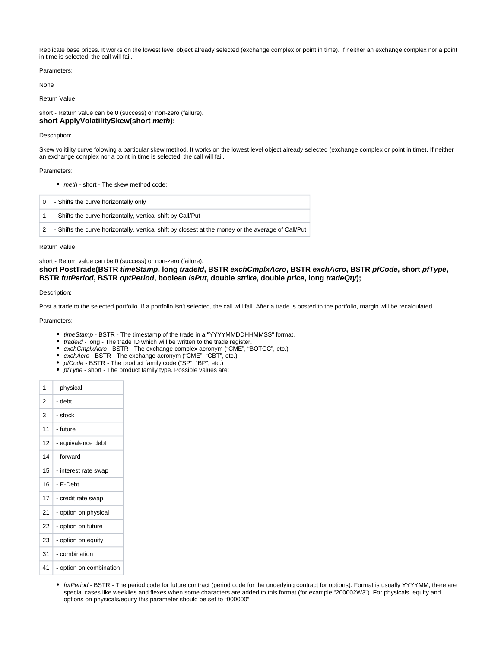Replicate base prices. It works on the lowest level object already selected (exchange complex or point in time). If neither an exchange complex nor a point in time is selected, the call will fail.

Parameters:

None

Return Value:

<span id="page-20-0"></span>short - Return value can be 0 (success) or non-zero (failure). **short ApplyVolatilitySkew(short meth);**

# Description:

Skew volitility curve folowing a particular skew method. It works on the lowest level object already selected (exchange complex or point in time). If neither an exchange complex nor a point in time is selected, the call will fail.

# Parameters:

• meth - short - The skew method code:

| 0 | - Shifts the curve horizontally only                                                               |
|---|----------------------------------------------------------------------------------------------------|
|   | - Shifts the curve horizontally, vertical shift by Call/Put                                        |
|   | - Shifts the curve horizontally, vertical shift by closest at the money or the average of Call/Put |

Return Value:

short - Return value can be 0 (success) or non-zero (failure).

<span id="page-20-1"></span>**short PostTrade(BSTR timeStamp, long tradeId, BSTR exchCmplxAcro, BSTR exchAcro, BSTR pfCode, short pfType, BSTR futPeriod, BSTR optPeriod, boolean isPut, double strike, double price, long tradeQty);**

# Description:

Post a trade to the selected portfolio. If a portfolio isn't selected, the call will fail. After a trade is posted to the portfolio, margin will be recalculated.

Parameters:

- timeStamp BSTR The timestamp of the trade in a "YYYYMMDDHHMMSS" format.
- *tradeId* long The trade ID which will be written to the trade register.
- exchCmplxAcro BSTR The exchange complex acronym ("CME", "BOTCC", etc.)
- exchAcro BSTR The exchange acronym ("CME", "CBT", etc.)
- pfCode BSTR The product family code ("SP", "BP", etc.)
- pfType short The product family type. Possible values are:

| 2<br>- debt                           |
|---------------------------------------|
| 3<br>- stock                          |
| 11<br>- future                        |
| 12 <sup>2</sup><br>- equivalence debt |
| - forward<br>14                       |
| 15<br>- interest rate swap            |
| 16<br>- E-Debt                        |
| 17<br>- credit rate swap              |
| 21<br>- option on physical            |
| 22<br>- option on future              |
| 23<br>- option on equity              |
| - combination<br>31                   |
| 41<br>- option on combination         |

• futPeriod - BSTR - The period code for future contract (period code for the underlying contract for options). Format is usually YYYYMM, there are special cases like weeklies and flexes when some characters are added to this format (for example "200002W3"). For physicals, equity and options on physicals/equity this parameter should be set to "000000".